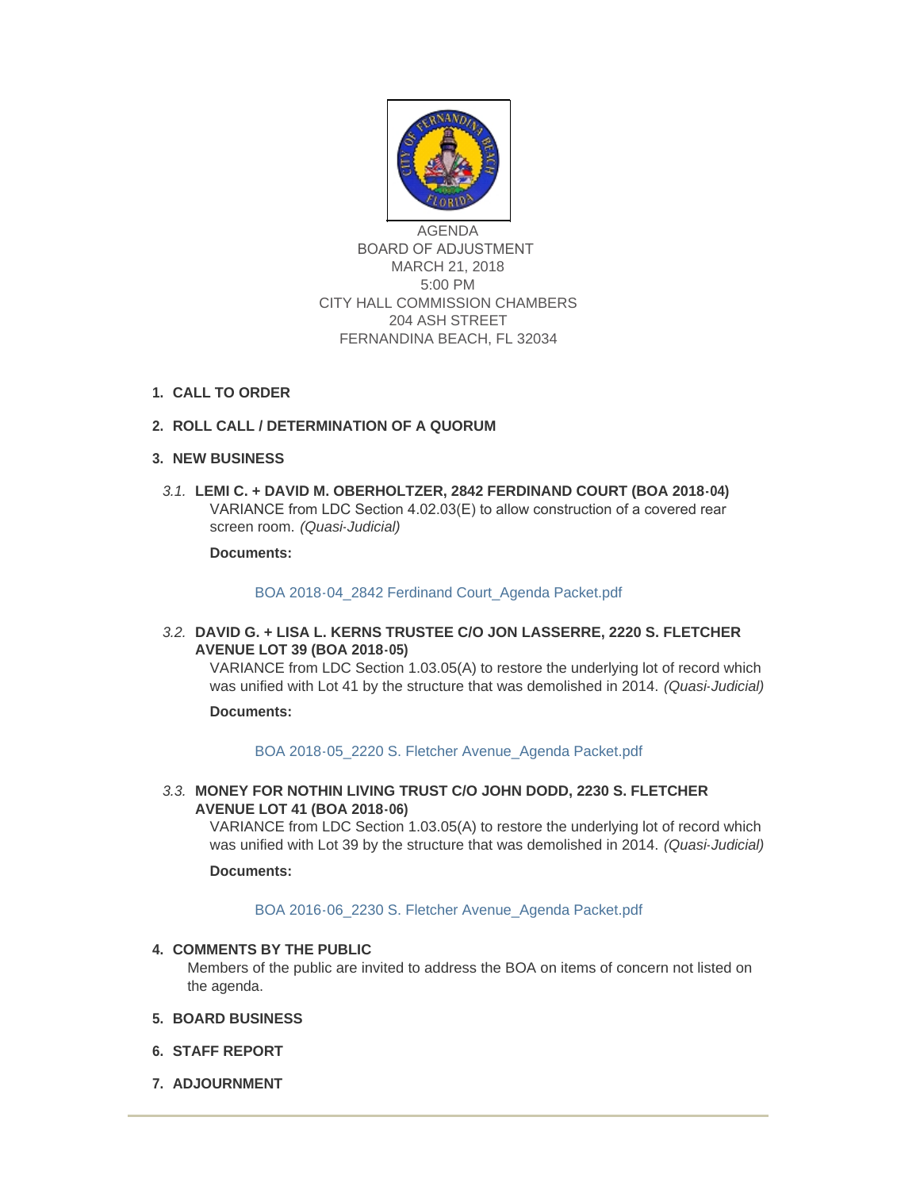

AGENDA BOARD OF ADJUSTMENT MARCH 21, 2018 5:00 PM CITY HALL COMMISSION CHAMBERS 204 ASH STREET FERNANDINA BEACH, FL 32034

**CALL TO ORDER 1.**

# **ROLL CALL / DETERMINATION OF A QUORUM 2.**

# **NEW BUSINESS 3.**

**LEMI C. + DAVID M. OBERHOLTZER, 2842 FERDINAND COURT (BOA 2018-04)** *3.1.* VARIANCE from LDC Section 4.02.03(E) to allow construction of a covered rear screen room. *(Quasi-Judicial)*

**Documents:**

# [BOA 2018-04\\_2842 Ferdinand Court\\_Agenda Packet.pdf](http://fl-fernandinabeach3.civicplus.com/AgendaCenter/ViewFile/Item/8784?fileID=5585)

**DAVID G. + LISA L. KERNS TRUSTEE C/O JON LASSERRE, 2220 S. FLETCHER**  *3.2.* **AVENUE LOT 39 (BOA 2018-05)**

VARIANCE from LDC Section 1.03.05(A) to restore the underlying lot of record which was unified with Lot 41 by the structure that was demolished in 2014. *(Quasi-Judicial)*

#### **Documents:**

### [BOA 2018-05\\_2220 S. Fletcher Avenue\\_Agenda Packet.pdf](http://fl-fernandinabeach3.civicplus.com/AgendaCenter/ViewFile/Item/8786?fileID=5584)

**MONEY FOR NOTHIN LIVING TRUST C/O JOHN DODD, 2230 S. FLETCHER**  *3.3.* **AVENUE LOT 41 (BOA 2018-06)**

VARIANCE from LDC Section 1.03.05(A) to restore the underlying lot of record which was unified with Lot 39 by the structure that was demolished in 2014. *(Quasi-Judicial)*

#### **Documents:**

### [BOA 2016-06\\_2230 S. Fletcher Avenue\\_Agenda Packet.pdf](http://fl-fernandinabeach3.civicplus.com/AgendaCenter/ViewFile/Item/8785?fileID=5586)

# **COMMENTS BY THE PUBLIC 4.**

Members of the public are invited to address the BOA on items of concern not listed on the agenda.

- **BOARD BUSINESS 5.**
- **STAFF REPORT 6.**
- **ADJOURNMENT 7.**